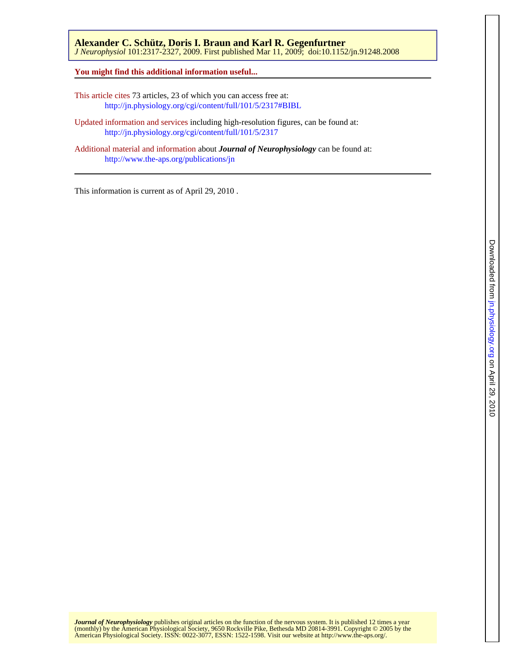*J Neurophysiol* 101:2317-2327, 2009. First published Mar 11, 2009; doi:10.1152/jn.91248.2008 **Alexander C. Schütz, Doris I. Braun and Karl R. Gegenfurtner** 

**You might find this additional information useful...**

This article cites 73 articles, 23 of which you can access free at: <http://jn.physiology.org/cgi/content/full/101/5/2317#BIBL>

Updated information and services including high-resolution figures, can be found at: <http://jn.physiology.org/cgi/content/full/101/5/2317>

Additional material and information about *Journal of Neurophysiology* can be found at: <http://www.the-aps.org/publications/jn>

This information is current as of April 29, 2010 .

American Physiological Society. ISSN: 0022-3077, ESSN: 1522-1598. Visit our website at [http://www.the-aps.org/.](http://www.the-aps.org/) (monthly) by the American Physiological Society, 9650 Rockville Pike, Bethesda MD 20814-3991. Copyright © 2005 by the *Journal of Neurophysiology* publishes original articles on the function of the nervous system. It is published 12 times a year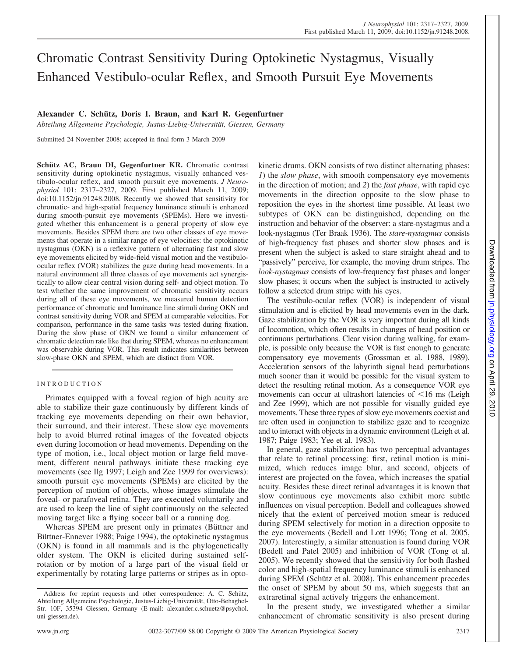# Chromatic Contrast Sensitivity During Optokinetic Nystagmus, Visually Enhanced Vestibulo-ocular Reflex, and Smooth Pursuit Eye Movements

# Alexander C. Schütz, Doris I. Braun, and Karl R. Gegenfurtner

*Abteilung Allgemeine Psychologie, Justus-Liebig-Universita¨t, Giessen, Germany*

Submitted 24 November 2008; accepted in final form 3 March 2009

Schütz AC, Braun DI, Gegenfurtner KR. Chromatic contrast sensitivity during optokinetic nystagmus, visually enhanced vestibulo-ocular reflex, and smooth pursuit eye movements. *J Neurophysiol* 101: 2317–2327, 2009. First published March 11, 2009; doi:10.1152/jn.91248.2008. Recently we showed that sensitivity for chromatic- and high-spatial frequency luminance stimuli is enhanced during smooth-pursuit eye movements (SPEMs). Here we investigated whether this enhancement is a general property of slow eye movements. Besides SPEM there are two other classes of eye movements that operate in a similar range of eye velocities: the optokinetic nystagmus (OKN) is a reflexive pattern of alternating fast and slow eye movements elicited by wide-field visual motion and the vestibuloocular reflex (VOR) stabilizes the gaze during head movements. In a natural environment all three classes of eye movements act synergistically to allow clear central vision during self- and object motion. To test whether the same improvement of chromatic sensitivity occurs during all of these eye movements, we measured human detection performance of chromatic and luminance line stimuli during OKN and contrast sensitivity during VOR and SPEM at comparable velocities. For comparison, performance in the same tasks was tested during fixation. During the slow phase of OKN we found a similar enhancement of chromatic detection rate like that during SPEM, whereas no enhancement was observable during VOR. This result indicates similarities between slow-phase OKN and SPEM, which are distinct from VOR.

# INTRODUCTION

Primates equipped with a foveal region of high acuity are able to stabilize their gaze continuously by different kinds of tracking eye movements depending on their own behavior, their surround, and their interest. These slow eye movements help to avoid blurred retinal images of the foveated objects even during locomotion or head movements. Depending on the type of motion, i.e., local object motion or large field movement, different neural pathways initiate these tracking eye movements (see Ilg 1997; Leigh and Zee 1999 for overviews): smooth pursuit eye movements (SPEMs) are elicited by the perception of motion of objects, whose images stimulate the foveal- or parafoveal retina. They are executed voluntarily and are used to keep the line of sight continuously on the selected moving target like a flying soccer ball or a running dog.

Whereas SPEM are present only in primates (Büttner and Büttner-Ennever 1988; Paige 1994), the optokinetic nystagmus (OKN) is found in all mammals and is the phylogenetically older system. The OKN is elicited during sustained selfrotation or by motion of a large part of the visual field or experimentally by rotating large patterns or stripes as in optokinetic drums. OKN consists of two distinct alternating phases: *1*) the *slow phase*, with smooth compensatory eye movements in the direction of motion; and *2*) the *fast phase*, with rapid eye movements in the direction opposite to the slow phase to reposition the eyes in the shortest time possible. At least two subtypes of OKN can be distinguished, depending on the instruction and behavior of the observer: a stare-nystagmus and a look-nystagmus (Ter Braak 1936). The *stare-nystagmus* consists of high-frequency fast phases and shorter slow phases and is present when the subject is asked to stare straight ahead and to "passively" perceive, for example, the moving drum stripes. The *look-nystagmus* consists of low-frequency fast phases and longer slow phases; it occurs when the subject is instructed to actively follow a selected drum stripe with his eyes.

The vestibulo-ocular reflex (VOR) is independent of visual stimulation and is elicited by head movements even in the dark. Gaze stabilization by the VOR is very important during all kinds of locomotion, which often results in changes of head position or continuous perturbations. Clear vision during walking, for example, is possible only because the VOR is fast enough to generate compensatory eye movements (Grossman et al. 1988, 1989). Acceleration sensors of the labyrinth signal head perturbations much sooner than it would be possible for the visual system to detect the resulting retinal motion. As a consequence VOR eye movements can occur at ultrashort latencies of  $\leq 16$  ms (Leigh and Zee 1999), which are not possible for visually guided eye movements. These three types of slow eye movements coexist and are often used in conjunction to stabilize gaze and to recognize and to interact with objects in a dynamic environment (Leigh et al. 1987; Paige 1983; Yee et al. 1983).

In general, gaze stabilization has two perceptual advantages that relate to retinal processing: first, retinal motion is minimized, which reduces image blur, and second, objects of interest are projected on the fovea, which increases the spatial acuity. Besides these direct retinal advantages it is known that slow continuous eye movements also exhibit more subtle influences on visual perception. Bedell and colleagues showed nicely that the extent of perceived motion smear is reduced during SPEM selectively for motion in a direction opposite to the eye movements (Bedell and Lott 1996; Tong et al. 2005, 2007). Interestingly, a similar attenuation is found during VOR (Bedell and Patel 2005) and inhibition of VOR (Tong et al. 2005). We recently showed that the sensitivity for both flashed color and high-spatial frequency luminance stimuli is enhanced during SPEM (Schütz et al. 2008). This enhancement precedes the onset of SPEM by about 50 ms, which suggests that an extraretinal signal actively triggers the enhancement.

In the present study, we investigated whether a similar enhancement of chromatic sensitivity is also present during

Address for reprint requests and other correspondence: A. C. Schütz, Abteilung Allgemeine Psychologie, Justus-Liebig-Universität, Otto-Behaghel-Str. 10F, 35394 Giessen, Germany (E-mail: alexander.c.schuetz@psychol. uni-giessen.de).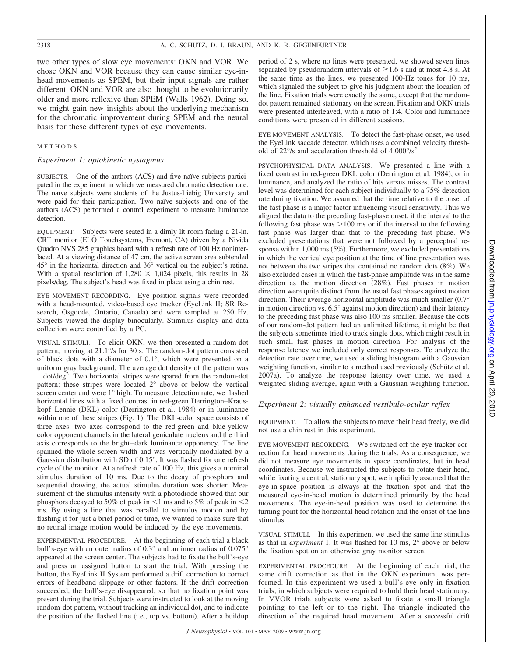two other types of slow eye movements: OKN and VOR. We chose OKN and VOR because they can cause similar eye-inhead movements as SPEM, but their input signals are rather different. OKN and VOR are also thought to be evolutionarily older and more reflexive than SPEM (Walls 1962). Doing so, we might gain new insights about the underlying mechanism for the chromatic improvement during SPEM and the neural basis for these different types of eye movements.

# METHODS

# *Experiment 1: optokinetic nystagmus*

SUBJECTS. One of the authors (ACS) and five naïve subjects participated in the experiment in which we measured chromatic detection rate. The naïve subjects were students of the Justus-Liebig University and were paid for their participation. Two naïve subjects and one of the authors (ACS) performed a control experiment to measure luminance detection.

EQUIPMENT. Subjects were seated in a dimly lit room facing a 21-in. CRT monitor (ELO Touchsystems, Fremont, CA) driven by a Nivida Quadro NVS 285 graphics board with a refresh rate of 100 Hz noninterlaced. At a viewing distance of 47 cm, the active screen area subtended 45° in the horizontal direction and 36° vertical on the subject's retina. With a spatial resolution of  $1,280 \times 1,024$  pixels, this results in 28 pixels/deg. The subject's head was fixed in place using a chin rest.

EYE MOVEMENT RECORDING. Eye position signals were recorded with a head-mounted, video-based eye tracker (EyeLink II; SR Research, Osgoode, Ontario, Canada) and were sampled at 250 Hz. Subjects viewed the display binocularly. Stimulus display and data collection were controlled by a PC.

VISUAL STIMULI. To elicit OKN, we then presented a random-dot pattern, moving at 21.1°/s for 30 s. The random-dot pattern consisted of black dots with a diameter of 0.1°, which were presented on a uniform gray background. The average dot density of the pattern was 1 dot/deg2 . Two horizontal stripes were spared from the random-dot pattern: these stripes were located 2° above or below the vertical screen center and were 1° high. To measure detection rate, we flashed horizontal lines with a fixed contrast in red-green Derrington–Krauskopf–Lennie (DKL) color (Derrington et al. 1984) or in luminance within one of these stripes (Fig. 1). The DKL-color space consists of three axes: two axes correspond to the red-green and blue-yellow color opponent channels in the lateral geniculate nucleus and the third axis corresponds to the bright– dark luminance opponency. The line spanned the whole screen width and was vertically modulated by a Gaussian distribution with SD of 0.15°. It was flashed for one refresh cycle of the monitor. At a refresh rate of 100 Hz, this gives a nominal stimulus duration of 10 ms. Due to the decay of phosphors and sequential drawing, the actual stimulus duration was shorter. Measurement of the stimulus intensity with a photodiode showed that our phosphors decayed to 50% of peak in  $\leq$ 1 ms and to 5% of peak in  $\leq$ 2 ms. By using a line that was parallel to stimulus motion and by flashing it for just a brief period of time, we wanted to make sure that no retinal image motion would be induced by the eye movements.

EXPERIMENTAL PROCEDURE. At the beginning of each trial a black bull's-eye with an outer radius of 0.3° and an inner radius of 0.075° appeared at the screen center. The subjects had to fixate the bull's-eye and press an assigned button to start the trial. With pressing the button, the EyeLink II System performed a drift correction to correct errors of headband slippage or other factors. If the drift correction succeeded, the bull's-eye disappeared, so that no fixation point was present during the trial. Subjects were instructed to look at the moving random-dot pattern, without tracking an individual dot, and to indicate the position of the flashed line (i.e., top vs. bottom). After a buildup period of 2 s, where no lines were presented, we showed seven lines separated by pseudorandom intervals of  $\geq 1.6$  s and at most 4.8 s. At the same time as the lines, we presented 100-Hz tones for 10 ms, which signaled the subject to give his judgment about the location of the line. Fixation trials were exactly the same, except that the randomdot pattern remained stationary on the screen. Fixation and OKN trials were presented interleaved, with a ratio of 1:4. Color and luminance conditions were presented in different sessions.

EYE MOVEMENT ANALYSIS. To detect the fast-phase onset, we used the EyeLink saccade detector, which uses a combined velocity threshold of  $22^{\circ}/s$  and acceleration threshold of  $4,000^{\circ}/s^2$ .

PSYCHOPHYSICAL DATA ANALYSIS. We presented a line with a fixed contrast in red-green DKL color (Derrington et al. 1984), or in luminance, and analyzed the ratio of hits versus misses. The contrast level was determined for each subject individually to a 75% detection rate during fixation. We assumed that the time relative to the onset of the fast phase is a major factor influencing visual sensitivity. Thus we aligned the data to the preceding fast-phase onset, if the interval to the following fast phase was  $>100$  ms or if the interval to the following fast phase was larger than that to the preceding fast phase. We excluded presentations that were not followed by a perceptual response within 1,000 ms (5%). Furthermore, we excluded presentations in which the vertical eye position at the time of line presentation was not between the two stripes that contained no random dots (8%). We also excluded cases in which the fast-phase amplitude was in the same direction as the motion direction (28%). Fast phases in motion direction were quite distinct from the usual fast phases against motion direction. Their average horizontal amplitude was much smaller (0.7° in motion direction vs. 6.5° against motion direction) and their latency to the preceding fast phase was also 100 ms smaller. Because the dots of our random-dot pattern had an unlimited lifetime, it might be that the subjects sometimes tried to track single dots, which might result in such small fast phases in motion direction. For analysis of the response latency we included only correct responses. To analyze the detection rate over time, we used a sliding histogram with a Gaussian weighting function, similar to a method used previously (Schütz et al. 2007a). To analyze the response latency over time, we used a weighted sliding average, again with a Gaussian weighting function.

#### *Experiment 2: visually enhanced vestibulo-ocular reflex*

EQUIPMENT. To allow the subjects to move their head freely, we did not use a chin rest in this experiment.

EYE MOVEMENT RECORDING. We switched off the eye tracker correction for head movements during the trials. As a consequence, we did not measure eye movements in space coordinates, but in head coordinates. Because we instructed the subjects to rotate their head, while fixating a central, stationary spot, we implicitly assumed that the eye-in-space position is always at the fixation spot and that the measured eye-in-head motion is determined primarily by the head movements. The eye-in-head position was used to determine the turning point for the horizontal head rotation and the onset of the line stimulus.

VISUAL STIMULI. In this experiment we used the same line stimulus as that in *experiment* 1. It was flashed for 10 ms, 2° above or below the fixation spot on an otherwise gray monitor screen.

EXPERIMENTAL PROCEDURE. At the beginning of each trial, the same drift correction as that in the OKN experiment was performed. In this experiment we used a bull's-eye only in fixation trials, in which subjects were required to hold their head stationary. In VVOR trials subjects were asked to fixate a small triangle pointing to the left or to the right. The triangle indicated the direction of the required head movement. After a successful drift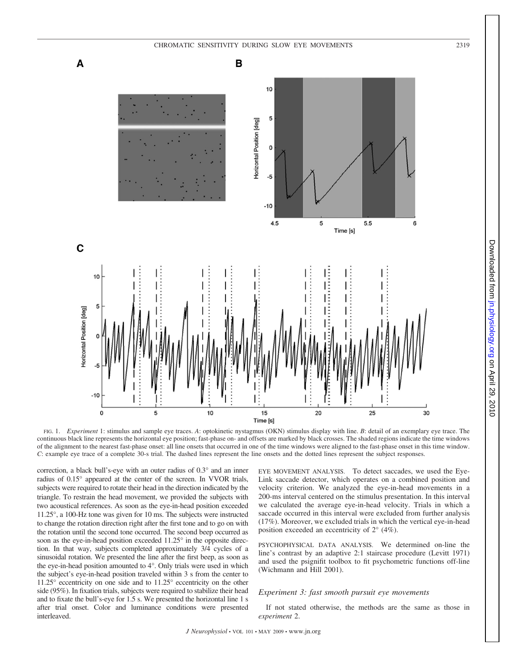

Downloaded from jn.physiology.org on April 29, 2010 Downloadedfrom [jn.physiology.org](http://jn.physiology.org) on April 29, 2010

FIG. 1. *Experiment* 1: stimulus and sample eye traces. *A*: optokinetic nystagmus (OKN) stimulus display with line. *B*: detail of an exemplary eye trace. The continuous black line represents the horizontal eye position; fast-phase on- and offsets are marked by black crosses. The shaded regions indicate the time windows of the alignment to the nearest fast-phase onset: all line onsets that occurred in one of the time windows were aligned to the fast-phase onset in this time window. *C*: example eye trace of a complete 30-s trial. The dashed lines represent the line onsets and the dotted lines represent the subject responses.

correction, a black bull's-eye with an outer radius of 0.3° and an inner radius of 0.15° appeared at the center of the screen. In VVOR trials, subjects were required to rotate their head in the direction indicated by the triangle. To restrain the head movement, we provided the subjects with two acoustical references. As soon as the eye-in-head position exceeded 11.25°, a 100-Hz tone was given for 10 ms. The subjects were instructed to change the rotation direction right after the first tone and to go on with the rotation until the second tone occurred. The second beep occurred as soon as the eye-in-head position exceeded 11.25° in the opposite direction. In that way, subjects completed approximately 3/4 cycles of a sinusoidal rotation. We presented the line after the first beep, as soon as the eye-in-head position amounted to 4°. Only trials were used in which the subject's eye-in-head position traveled within 3 s from the center to 11.25° eccentricity on one side and to 11.25° eccentricity on the other side (95%). In fixation trials, subjects were required to stabilize their head and to fixate the bull's-eye for 1.5 s. We presented the horizontal line 1 s after trial onset. Color and luminance conditions were presented interleaved.

EYE MOVEMENT ANALYSIS. To detect saccades, we used the Eye-Link saccade detector, which operates on a combined position and velocity criterion. We analyzed the eye-in-head movements in a 200-ms interval centered on the stimulus presentation. In this interval we calculated the average eye-in-head velocity. Trials in which a saccade occurred in this interval were excluded from further analysis (17%). Moreover, we excluded trials in which the vertical eye-in-head position exceeded an eccentricity of 2° (4%).

PSYCHOPHYSICAL DATA ANALYSIS. We determined on-line the line's contrast by an adaptive 2:1 staircase procedure (Levitt 1971) and used the psignifit toolbox to fit psychometric functions off-line (Wichmann and Hill 2001).

## *Experiment 3: fast smooth pursuit eye movements*

If not stated otherwise, the methods are the same as those in *experiment* 2.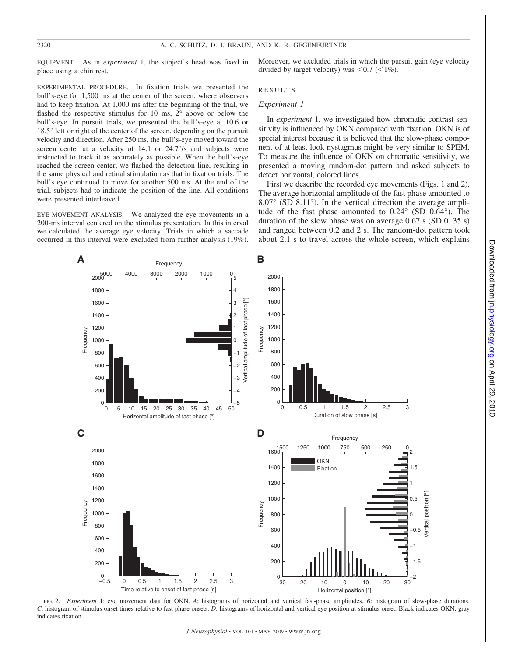EQUIPMENT. As in *experiment* 1, the subject's head was fixed in place using a chin rest.

EXPERIMENTAL PROCEDURE. In fixation trials we presented the bull's-eye for 1,500 ms at the center of the screen, where observers had to keep fixation. At 1,000 ms after the beginning of the trial, we flashed the respective stimulus for 10 ms, 2° above or below the bull's-eye. In pursuit trials, we presented the bull's-eye at 10.6 or 18.5° left or right of the center of the screen, depending on the pursuit velocity and direction. After 250 ms, the bull's-eye moved toward the screen center at a velocity of 14.1 or 24.7°/s and subjects were instructed to track it as accurately as possible. When the bull's-eye reached the screen center, we flashed the detection line, resulting in the same physical and retinal stimulation as that in fixation trials. The bull's eye continued to move for another 500 ms. At the end of the trial, subjects had to indicate the position of the line. All conditions were presented interleaved.

EYE MOVEMENT ANALYSIS. We analyzed the eye movements in a 200-ms interval centered on the stimulus presentation. In this interval we calculated the average eye velocity. Trials in which a saccade occurred in this interval were excluded from further analysis (19%).

Moreover, we excluded trials in which the pursuit gain (eye velocity divided by target velocity) was  $\leq 0.7$  ( $\leq 1\%$ ).

## RESULTS

# *Experiment 1*

In *experiment* 1, we investigated how chromatic contrast sensitivity is influenced by OKN compared with fixation. OKN is of special interest because it is believed that the slow-phase component of at least look-nystagmus might be very similar to SPEM. To measure the influence of OKN on chromatic sensitivity, we presented a moving random-dot pattern and asked subjects to detect horizontal, colored lines.

First we describe the recorded eye movements (Figs. 1 and 2). The average horizontal amplitude of the fast phase amounted to 8.07° (SD 8.11°). In the vertical direction the average amplitude of the fast phase amounted to 0.24° (SD 0.64°). The duration of the slow phase was on average 0.67 s (SD 0. 35 s) and ranged between 0.2 and 2 s. The random-dot pattern took about 2.1 s to travel across the whole screen, which explains



FIG. 2. *Experiment* 1: eye movement data for OKN. *A*: histograms of horizontal and vertical fast-phase amplitudes. *B*: histogram of slow-phase durations. *C*: histogram of stimulus onset times relative to fast-phase onsets. *D*: histograms of horizontal and vertical eye position at stimulus onset. Black indicates OKN, gray indicates fixation.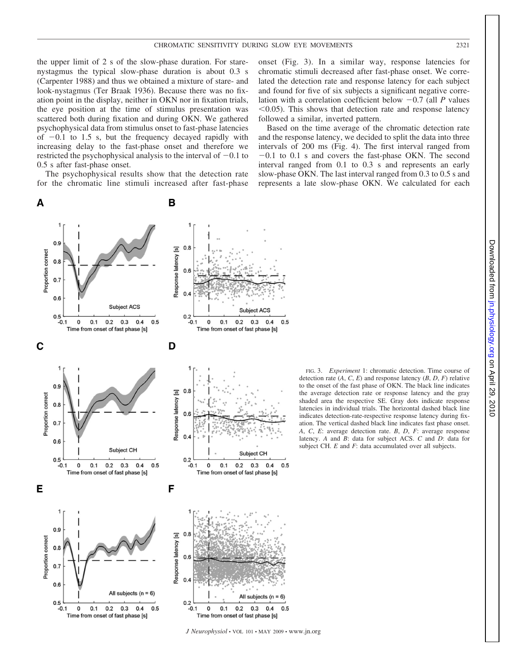the upper limit of 2 s of the slow-phase duration. For starenystagmus the typical slow-phase duration is about 0.3 s (Carpenter 1988) and thus we obtained a mixture of stare- and look-nystagmus (Ter Braak 1936). Because there was no fixation point in the display, neither in OKN nor in fixation trials, the eye position at the time of stimulus presentation was scattered both during fixation and during OKN. We gathered psychophysical data from stimulus onset to fast-phase latencies of  $-0.1$  to 1.5 s, but the frequency decayed rapidly with increasing delay to the fast-phase onset and therefore we restricted the psychophysical analysis to the interval of  $-0.1$  to 0.5 s after fast-phase onset.

The psychophysical results show that the detection rate for the chromatic line stimuli increased after fast-phase onset (Fig. 3). In a similar way, response latencies for chromatic stimuli decreased after fast-phase onset. We correlated the detection rate and response latency for each subject and found for five of six subjects a significant negative correlation with a correlation coefficient below  $-0.7$  (all *P* values  $<$ 0.05). This shows that detection rate and response latency followed a similar, inverted pattern.

Based on the time average of the chromatic detection rate and the response latency, we decided to split the data into three intervals of 200 ms (Fig. 4). The first interval ranged from  $-0.1$  to 0.1 s and covers the fast-phase OKN. The second interval ranged from 0.1 to 0.3 s and represents an early slow-phase OKN. The last interval ranged from 0.3 to 0.5 s and represents a late slow-phase OKN. We calculated for each

FIG. 3. *Experiment* 1: chromatic detection. Time course of



*J Neurophysiol* • VOL 101 • MAY 2009 • www.jn.org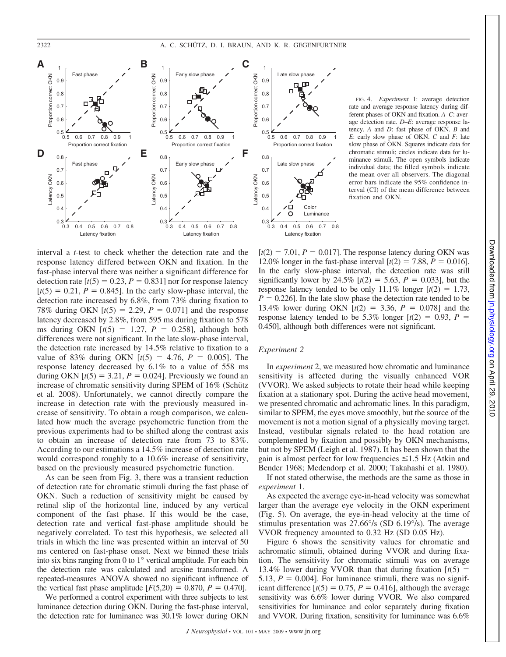

interval a *t*-test to check whether the detection rate and the response latency differed between OKN and fixation. In the fast-phase interval there was neither a significant difference for detection rate  $[t(5) = 0.23, P = 0.831]$  nor for response latency  $[t(5) = 0.21, P = 0.845]$ . In the early slow-phase interval, the detection rate increased by 6.8%, from 73% during fixation to 78% during OKN  $[t(5) = 2.29, P = 0.071]$  and the response latency decreased by 2.8%, from 595 ms during fixation to 578 ms during OKN  $[t(5) = 1.27, P = 0.258]$ , although both differences were not significant. In the late slow-phase interval, the detection rate increased by 14.5% relative to fixation to a value of 83% during OKN  $[t(5) = 4.76, P = 0.005]$ . The response latency decreased by 6.1% to a value of 558 ms during OKN  $[t(5) = 3.21, P = 0.024]$ . Previously we found an increase of chromatic sensitivity during SPEM of 16% (Schütz et al. 2008). Unfortunately, we cannot directly compare the increase in detection rate with the previously measured increase of sensitivity. To obtain a rough comparison, we calculated how much the average psychometric function from the previous experiments had to be shifted along the contrast axis to obtain an increase of detection rate from 73 to 83%. According to our estimations a 14.5% increase of detection rate would correspond roughly to a 10.6% increase of sensitivity, based on the previously measured psychometric function.

As can be seen from Fig. 3, there was a transient reduction of detection rate for chromatic stimuli during the fast phase of OKN. Such a reduction of sensitivity might be caused by retinal slip of the horizontal line, induced by any vertical component of the fast phase. If this would be the case, detection rate and vertical fast-phase amplitude should be negatively correlated. To test this hypothesis, we selected all trials in which the line was presented within an interval of 50 ms centered on fast-phase onset. Next we binned these trials into six bins ranging from 0 to 1° vertical amplitude. For each bin the detection rate was calculated and arcsine transformed. A repeated-measures ANOVA showed no significant influence of the vertical fast phase amplitude  $[F(5,20) = 0.870, P = 0.470]$ .

We performed a control experiment with three subjects to test luminance detection during OKN. During the fast-phase interval, the detection rate for luminance was 30.1% lower during OKN



 $[t(2) = 7.01, P = 0.017]$ . The response latency during OKN was 12.0% longer in the fast-phase interval  $[t(2) = 7.88, P = 0.016]$ . In the early slow-phase interval, the detection rate was still significantly lower by 24.5%  $[t(2) = 5.63, P = 0.033]$ , but the response latency tended to be only  $11.1\%$  longer  $[t(2) = 1.73]$ ,  $P = 0.226$ . In the late slow phase the detection rate tended to be 13.4% lower during OKN  $[t(2) = 3.36, P = 0.078]$  and the response latency tended to be 5.3% longer  $[t(2) = 0.93, P =$ 0.450], although both differences were not significant.

# *Experiment 2*

In *experiment* 2, we measured how chromatic and luminance sensitivity is affected during the visually enhanced VOR (VVOR). We asked subjects to rotate their head while keeping fixation at a stationary spot. During the active head movement, we presented chromatic and achromatic lines. In this paradigm, similar to SPEM, the eyes move smoothly, but the source of the movement is not a motion signal of a physically moving target. Instead, vestibular signals related to the head rotation are complemented by fixation and possibly by OKN mechanisms, but not by SPEM (Leigh et al. 1987). It has been shown that the gain is almost perfect for low frequencies  $\leq$ 1.5 Hz (Atkin and Bender 1968; Medendorp et al. 2000; Takahashi et al. 1980).

If not stated otherwise, the methods are the same as those in *experiment* 1.

As expected the average eye-in-head velocity was somewhat larger than the average eye velocity in the OKN experiment (Fig. 5). On average, the eye-in-head velocity at the time of stimulus presentation was 27.66°/s (SD 6.19°/s). The average VVOR frequency amounted to 0.32 Hz (SD 0.05 Hz).

Figure 6 shows the sensitivity values for chromatic and achromatic stimuli, obtained during VVOR and during fixation. The sensitivity for chromatic stimuli was on average 13.4% lower during VVOR than that during fixation  $\left[ t(5) \right]$ 5.13,  $P = 0.004$ ]. For luminance stimuli, there was no significant difference  $[t(5) = 0.75, P = 0.416]$ , although the average sensitivity was 6.6% lower during VVOR. We also compared sensitivities for luminance and color separately during fixation and VVOR. During fixation, sensitivity for luminance was 6.6%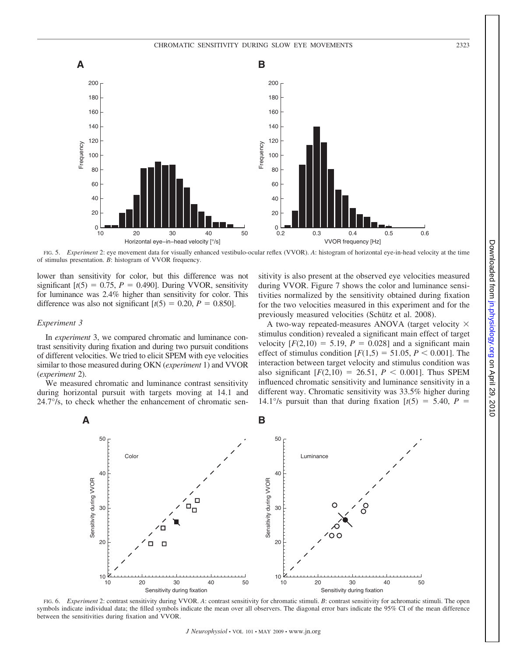

FIG. 5. *Experiment* 2: eye movement data for visually enhanced vestibulo-ocular reflex (VVOR). *A*: histogram of horizontal eye-in-head velocity at the time of stimulus presentation. *B*: histogram of VVOR frequency.

lower than sensitivity for color, but this difference was not significant  $[t(5) = 0.75, P = 0.490]$ . During VVOR, sensitivity for luminance was 2.4% higher than sensitivity for color. This difference was also not significant  $[t(5) = 0.20, P = 0.850]$ .

# *Experiment 3*

In *experiment* 3, we compared chromatic and luminance contrast sensitivity during fixation and during two pursuit conditions of different velocities. We tried to elicit SPEM with eye velocities similar to those measured during OKN (*experiment* 1) and VVOR (*experiment* 2).

We measured chromatic and luminance contrast sensitivity during horizontal pursuit with targets moving at 14.1 and 24.7°/s, to check whether the enhancement of chromatic sensitivity is also present at the observed eye velocities measured during VVOR. Figure 7 shows the color and luminance sensitivities normalized by the sensitivity obtained during fixation for the two velocities measured in this experiment and for the previously measured velocities (Schütz et al. 2008).

A two-way repeated-measures ANOVA (target velocity  $\times$ stimulus condition) revealed a significant main effect of target velocity  $[F(2,10) = 5.19, P = 0.028]$  and a significant main effect of stimulus condition  $[F(1,5) = 51.05, P < 0.001]$ . The interaction between target velocity and stimulus condition was also significant  $[F(2,10) = 26.51, P \le 0.001]$ . Thus SPEM influenced chromatic sensitivity and luminance sensitivity in a different way. Chromatic sensitivity was 33.5% higher during 14.1°/s pursuit than that during fixation  $[t(5) = 5.40, P =$ 



FIG. 6. *Experiment* 2: contrast sensitivity during VVOR. *A*: contrast sensitivity for chromatic stimuli. *B*: contrast sensitivity for achromatic stimuli. The open symbols indicate individual data; the filled symbols indicate the mean over all observers. The diagonal error bars indicate the 95% CI of the mean difference between the sensitivities during fixation and VVOR.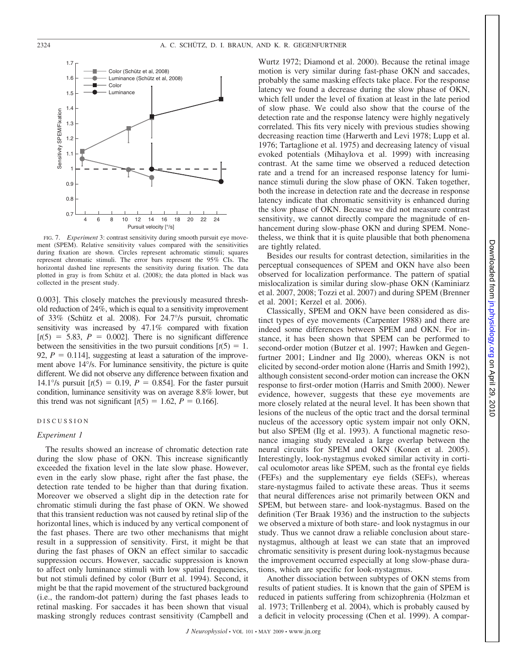

FIG. 7. *Experiment* 3: contrast sensitivity during smooth pursuit eye movement (SPEM). Relative sensitivity values compared with the sensitivities during fixation are shown. Circles represent achromatic stimuli; squares represent chromatic stimuli. The error bars represent the 95% CIs. The horizontal dashed line represents the sensitivity during fixation. The data plotted in gray is from Schütz et al. (2008); the data plotted in black was collected in the present study.

0.003]. This closely matches the previously measured threshold reduction of 24%, which is equal to a sensitivity improvement of 33% (Schütz et al. 2008). For 24.7°/s pursuit, chromatic sensitivity was increased by 47.1% compared with fixation  $[t(5) = 5.83, P = 0.002]$ . There is no significant difference between the sensitivities in the two pursuit conditions  $[t(5) = 1]$ . 92,  $P = 0.114$ ], suggesting at least a saturation of the improvement above 14°/s. For luminance sensitivity, the picture is quite different. We did not observe any difference between fixation and 14.1°/s pursuit  $[t(5) = 0.19, P = 0.854]$ . For the faster pursuit condition, luminance sensitivity was on average 8.8% lower, but this trend was not significant  $[t(5) = 1.62, P = 0.166]$ .

## DISCUSSION

#### *Experiment 1*

The results showed an increase of chromatic detection rate during the slow phase of OKN. This increase significantly exceeded the fixation level in the late slow phase. However, even in the early slow phase, right after the fast phase, the detection rate tended to be higher than that during fixation. Moreover we observed a slight dip in the detection rate for chromatic stimuli during the fast phase of OKN. We showed that this transient reduction was not caused by retinal slip of the horizontal lines, which is induced by any vertical component of the fast phases. There are two other mechanisms that might result in a suppression of sensitivity. First, it might be that during the fast phases of OKN an effect similar to saccadic suppression occurs. However, saccadic suppression is known to affect only luminance stimuli with low spatial frequencies, but not stimuli defined by color (Burr et al. 1994). Second, it might be that the rapid movement of the structured background (i.e., the random-dot pattern) during the fast phases leads to retinal masking. For saccades it has been shown that visual masking strongly reduces contrast sensitivity (Campbell and Wurtz 1972; Diamond et al. 2000). Because the retinal image motion is very similar during fast-phase OKN and saccades, probably the same masking effects take place. For the response latency we found a decrease during the slow phase of OKN, which fell under the level of fixation at least in the late period of slow phase. We could also show that the course of the detection rate and the response latency were highly negatively correlated. This fits very nicely with previous studies showing decreasing reaction time (Harwerth and Levi 1978; Lupp et al. 1976; Tartaglione et al. 1975) and decreasing latency of visual evoked potentials (Mihaylova et al. 1999) with increasing contrast. At the same time we observed a reduced detection rate and a trend for an increased response latency for luminance stimuli during the slow phase of OKN. Taken together, both the increase in detection rate and the decrease in response latency indicate that chromatic sensitivity is enhanced during the slow phase of OKN. Because we did not measure contrast sensitivity, we cannot directly compare the magnitude of enhancement during slow-phase OKN and during SPEM. Nonetheless, we think that it is quite plausible that both phenomena are tightly related.

Besides our results for contrast detection, similarities in the perceptual consequences of SPEM and OKN have also been observed for localization performance. The pattern of spatial mislocalization is similar during slow-phase OKN (Kaminiarz et al. 2007, 2008; Tozzi et al. 2007) and during SPEM (Brenner et al. 2001; Kerzel et al. 2006).

Classically, SPEM and OKN have been considered as distinct types of eye movements (Carpenter 1988) and there are indeed some differences between SPEM and OKN. For instance, it has been shown that SPEM can be performed to second-order motion (Butzer et al. 1997; Hawken and Gegenfurtner 2001; Lindner and Ilg 2000), whereas OKN is not elicited by second-order motion alone (Harris and Smith 1992), although consistent second-order motion can increase the OKN response to first-order motion (Harris and Smith 2000). Newer evidence, however, suggests that these eye movements are more closely related at the neural level. It has been shown that lesions of the nucleus of the optic tract and the dorsal terminal nucleus of the accessory optic system impair not only OKN, but also SPEM (Ilg et al. 1993). A functional magnetic resonance imaging study revealed a large overlap between the neural circuits for SPEM and OKN (Konen et al. 2005). Interestingly, look-nystagmus evoked similar activity in cortical oculomotor areas like SPEM, such as the frontal eye fields (FEFs) and the supplementary eye fields (SEFs), whereas stare-nystagmus failed to activate these areas. Thus it seems that neural differences arise not primarily between OKN and SPEM, but between stare- and look-nystagmus. Based on the definition (Ter Braak 1936) and the instruction to the subjects we observed a mixture of both stare- and look nystagmus in our study. Thus we cannot draw a reliable conclusion about starenystagmus, although at least we can state that an improved chromatic sensitivity is present during look-nystagmus because the improvement occurred especially at long slow-phase durations, which are specific for look-nystagmus.

Another dissociation between subtypes of OKN stems from results of patient studies. It is known that the gain of SPEM is reduced in patients suffering from schizophrenia (Holzman et al. 1973; Trillenberg et al. 2004), which is probably caused by a deficit in velocity processing (Chen et al. 1999). A compar-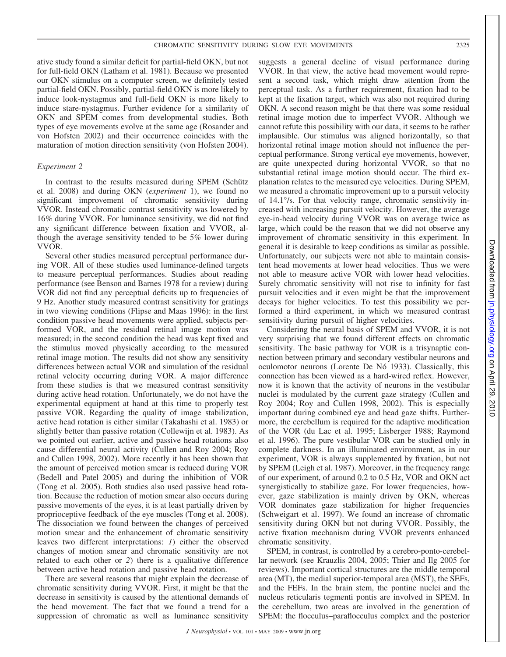ative study found a similar deficit for partial-field OKN, but not for full-field OKN (Latham et al. 1981). Because we presented our OKN stimulus on a computer screen, we definitely tested partial-field OKN. Possibly, partial-field OKN is more likely to induce look-nystagmus and full-field OKN is more likely to induce stare-nystagmus. Further evidence for a similarity of OKN and SPEM comes from developmental studies. Both types of eye movements evolve at the same age (Rosander and von Hofsten 2002) and their occurrence coincides with the maturation of motion direction sensitivity (von Hofsten 2004).

## *Experiment 2*

In contrast to the results measured during SPEM (Schütz et al. 2008) and during OKN (*experiment* 1), we found no significant improvement of chromatic sensitivity during VVOR. Instead chromatic contrast sensitivity was lowered by 16% during VVOR. For luminance sensitivity, we did not find any significant difference between fixation and VVOR, although the average sensitivity tended to be 5% lower during VVOR.

Several other studies measured perceptual performance during VOR. All of these studies used luminance-defined targets to measure perceptual performances. Studies about reading performance (see Benson and Barnes 1978 for a review) during VOR did not find any perceptual deficits up to frequencies of 9 Hz. Another study measured contrast sensitivity for gratings in two viewing conditions (Flipse and Maas 1996): in the first condition passive head movements were applied, subjects performed VOR, and the residual retinal image motion was measured; in the second condition the head was kept fixed and the stimulus moved physically according to the measured retinal image motion. The results did not show any sensitivity differences between actual VOR and simulation of the residual retinal velocity occurring during VOR. A major difference from these studies is that we measured contrast sensitivity during active head rotation. Unfortunately, we do not have the experimental equipment at hand at this time to properly test passive VOR. Regarding the quality of image stabilization, active head rotation is either similar (Takahashi et al. 1983) or slightly better than passive rotation (Collewijn et al. 1983). As we pointed out earlier, active and passive head rotations also cause differential neural activity (Cullen and Roy 2004; Roy and Cullen 1998, 2002). More recently it has been shown that the amount of perceived motion smear is reduced during VOR (Bedell and Patel 2005) and during the inhibition of VOR (Tong et al. 2005). Both studies also used passive head rotation. Because the reduction of motion smear also occurs during passive movements of the eyes, it is at least partially driven by proprioceptive feedback of the eye muscles (Tong et al. 2008). The dissociation we found between the changes of perceived motion smear and the enhancement of chromatic sensitivity leaves two different interpretations: *1*) either the observed changes of motion smear and chromatic sensitivity are not related to each other or *2*) there is a qualitative difference between active head rotation and passive head rotation.

There are several reasons that might explain the decrease of chromatic sensitivity during VVOR. First, it might be that the decrease in sensitivity is caused by the attentional demands of the head movement. The fact that we found a trend for a suppression of chromatic as well as luminance sensitivity suggests a general decline of visual performance during VVOR. In that view, the active head movement would represent a second task, which might draw attention from the perceptual task. As a further requirement, fixation had to be kept at the fixation target, which was also not required during OKN. A second reason might be that there was some residual retinal image motion due to imperfect VVOR. Although we cannot refute this possibility with our data, it seems to be rather implausible. Our stimulus was aligned horizontally, so that horizontal retinal image motion should not influence the perceptual performance. Strong vertical eye movements, however, are quite unexpected during horizontal VVOR, so that no substantial retinal image motion should occur. The third explanation relates to the measured eye velocities. During SPEM, we measured a chromatic improvement up to a pursuit velocity of 14.1°/s. For that velocity range, chromatic sensitivity increased with increasing pursuit velocity. However, the average eye-in-head velocity during VVOR was on average twice as large, which could be the reason that we did not observe any improvement of chromatic sensitivity in this experiment. In general it is desirable to keep conditions as similar as possible. Unfortunately, our subjects were not able to maintain consistent head movements at lower head velocities. Thus we were not able to measure active VOR with lower head velocities. Surely chromatic sensitivity will not rise to infinity for fast pursuit velocities and it even might be that the improvement decays for higher velocities. To test this possibility we performed a third experiment, in which we measured contrast sensitivity during pursuit of higher velocities.

Considering the neural basis of SPEM and VVOR, it is not very surprising that we found different effects on chromatic sensitivity. The basic pathway for VOR is a trisynaptic connection between primary and secondary vestibular neurons and oculomotor neurons (Lorente De Nó 1933). Classically, this connection has been viewed as a hard-wired reflex. However, now it is known that the activity of neurons in the vestibular nuclei is modulated by the current gaze strategy (Cullen and Roy 2004; Roy and Cullen 1998, 2002). This is especially important during combined eye and head gaze shifts. Furthermore, the cerebellum is required for the adaptive modification of the VOR (du Lac et al. 1995; Lisberger 1988; Raymond et al. 1996). The pure vestibular VOR can be studied only in complete darkness. In an illuminated environment, as in our experiment, VOR is always supplemented by fixation, but not by SPEM (Leigh et al. 1987). Moreover, in the frequency range of our experiment, of around 0.2 to 0.5 Hz, VOR and OKN act synergistically to stabilize gaze. For lower frequencies, however, gaze stabilization is mainly driven by OKN, whereas VOR dominates gaze stabilization for higher frequencies (Schweigart et al. 1997). We found an increase of chromatic sensitivity during OKN but not during VVOR. Possibly, the active fixation mechanism during VVOR prevents enhanced chromatic sensitivity.

SPEM, in contrast, is controlled by a cerebro-ponto-cerebellar network (see Krauzlis 2004, 2005; Thier and Ilg 2005 for reviews). Important cortical structures are the middle temporal area (MT), the medial superior-temporal area (MST), the SEFs, and the FEFs. In the brain stem, the pontine nuclei and the nucleus reticularis tegmenti pontis are involved in SPEM. In the cerebellum, two areas are involved in the generation of SPEM: the flocculus–paraflocculus complex and the posterior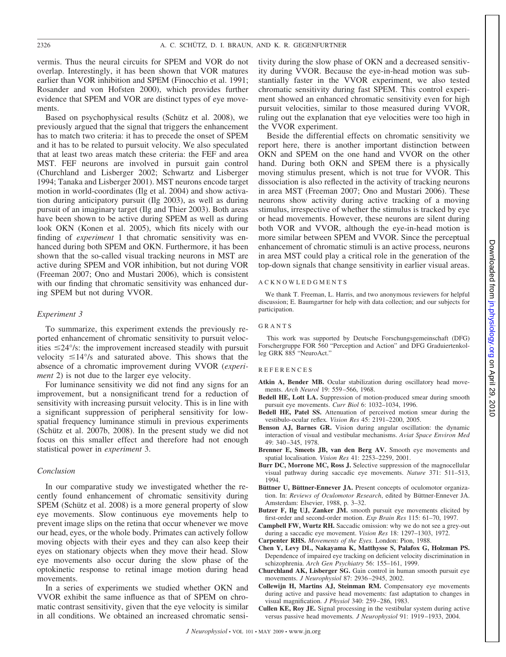vermis. Thus the neural circuits for SPEM and VOR do not overlap. Interestingly, it has been shown that VOR matures earlier than VOR inhibition and SPEM (Finocchio et al. 1991; Rosander and von Hofsten 2000), which provides further evidence that SPEM and VOR are distinct types of eye movements.

Based on psychophysical results (Schütz et al. 2008), we previously argued that the signal that triggers the enhancement has to match two criteria: it has to precede the onset of SPEM and it has to be related to pursuit velocity. We also speculated that at least two areas match these criteria: the FEF and area MST. FEF neurons are involved in pursuit gain control (Churchland and Lisberger 2002; Schwartz and Lisberger 1994; Tanaka and Lisberger 2001). MST neurons encode target motion in world-coordinates (Ilg et al. 2004) and show activation during anticipatory pursuit (Ilg 2003), as well as during pursuit of an imaginary target (Ilg and Thier 2003). Both areas have been shown to be active during SPEM as well as during look OKN (Konen et al. 2005), which fits nicely with our finding of *experiment* 1 that chromatic sensitivity was enhanced during both SPEM and OKN. Furthermore, it has been shown that the so-called visual tracking neurons in MST are active during SPEM and VOR inhibition, but not during VOR (Freeman 2007; Ono and Mustari 2006), which is consistent with our finding that chromatic sensitivity was enhanced during SPEM but not during VVOR.

## *Experiment 3*

To summarize, this experiment extends the previously reported enhancement of chromatic sensitivity to pursuit velocities  $\leq$ 24°/s: the improvement increased steadily with pursuit velocity  $\leq 14^{\circ}/s$  and saturated above. This shows that the absence of a chromatic improvement during VVOR (*experiment* 2) is not due to the larger eye velocity.

For luminance sensitivity we did not find any signs for an improvement, but a nonsignificant trend for a reduction of sensitivity with increasing pursuit velocity. This is in line with a significant suppression of peripheral sensitivity for lowspatial frequency luminance stimuli in previous experiments (Schütz et al.  $2007b$ ,  $2008$ ). In the present study we did not focus on this smaller effect and therefore had not enough statistical power in *experiment* 3.

# *Conclusion*

In our comparative study we investigated whether the recently found enhancement of chromatic sensitivity during SPEM (Schütz et al. 2008) is a more general property of slow eye movements. Slow continuous eye movements help to prevent image slips on the retina that occur whenever we move our head, eyes, or the whole body. Primates can actively follow moving objects with their eyes and they can also keep their eyes on stationary objects when they move their head. Slow eye movements also occur during the slow phase of the optokinetic response to retinal image motion during head movements.

In a series of experiments we studied whether OKN and VVOR exhibit the same influence as that of SPEM on chromatic contrast sensitivity, given that the eye velocity is similar in all conditions. We obtained an increased chromatic sensitivity during the slow phase of OKN and a decreased sensitivity during VVOR. Because the eye-in-head motion was substantially faster in the VVOR experiment, we also tested chromatic sensitivity during fast SPEM. This control experiment showed an enhanced chromatic sensitivity even for high pursuit velocities, similar to those measured during VVOR, ruling out the explanation that eye velocities were too high in the VVOR experiment.

Beside the differential effects on chromatic sensitivity we report here, there is another important distinction between OKN and SPEM on the one hand and VVOR on the other hand. During both OKN and SPEM there is a physically moving stimulus present, which is not true for VVOR. This dissociation is also reflected in the activity of tracking neurons in area MST (Freeman 2007; Ono and Mustari 2006). These neurons show activity during active tracking of a moving stimulus, irrespective of whether the stimulus is tracked by eye or head movements. However, these neurons are silent during both VOR and VVOR, although the eye-in-head motion is more similar between SPEM and VVOR. Since the perceptual enhancement of chromatic stimuli is an active process, neurons in area MST could play a critical role in the generation of the top-down signals that change sensitivity in earlier visual areas.

## ACKNOWLEDGMENTS

We thank T. Freeman, L. Harris, and two anonymous reviewers for helpful discussion; E. Baumgartner for help with data collection; and our subjects for participation.

#### GRANTS

This work was supported by Deutsche Forschungsgemeinschaft (DFG) Forschergruppe FOR 560 "Perception and Action" and DFG Graduiertenkolleg GRK 885 "NeuroAct."

#### REFERENCES

- Atkin A, Bender MB. Ocular stabilization during oscillatory head movements. *Arch Neurol* 19: 559 –566, 1968.
- **Bedell HE, Lott LA.** Suppression of motion-produced smear during smooth pursuit eye movements. *Curr Biol* 6: 1032–1034, 1996.
- **Bedell HE, Patel SS.** Attenuation of perceived motion smear during the vestibulo-ocular reflex*. Vision Res* 45: 2191–2200, 2005.
- **Benson AJ, Barnes GR.** Vision during angular oscillation: the dynamic interaction of visual and vestibular mechanisms. *Aviat Space Environ Med* 49: 340 –345, 1978.
- **Brenner E, Smeets JB, van den Berg AV.** Smooth eye movements and spatial localisation. *Vision Res* 41: 2253–2259, 2001.
- **Burr DC, Morrone MC, Ross J.** Selective suppression of the magnocellular visual pathway during saccadic eye movements. *Nature* 371: 511–513, 1994.
- Büttner U, Büttner-Ennever JA. Present concepts of oculomotor organization. In: *Reviews of Oculomotor Research*, edited by Büttner-Ennever JA. Amsterdam: Elsevier, 1988, p. 3–32.
- **Butzer F, Ilg UJ, Zanker JM.** smooth pursuit eye movements elicited by first-order and second-order motion. *Exp Brain Res* 115: 61–70, 1997.
- **Campbell FW, Wurtz RH.** Saccadic omission: why we do not see a grey-out during a saccadic eye movement. *Vision Res* 18: 1297–1303, 1972.
- **Carpenter RHS.** *Movements of the Eyes.* London: Pion, 1988.
- **Chen Y, Levy DL, Nakayama K, Matthysse S, Palafox G, Holzman PS.** Dependence of impaired eye tracking on deficient velocity discrimination in schizophrenia. *Arch Gen Psychiatry* 56: 155–161, 1999.
- **Churchland AK, Lisberger SG.** Gain control in human smooth pursuit eye movements. *J Neurophysiol* 87: 2936 –2945, 2002.
- **Collewijn H, Martins AJ, Steinman RM.** Compensatory eye movements during active and passive head movements: fast adaptation to changes in visual magnification. *J Physiol* 340: 259 –286, 1983.
- **Cullen KE, Roy JE.** Signal processing in the vestibular system during active versus passive head movements*. J Neurophysiol* 91: 1919 –1933, 2004.